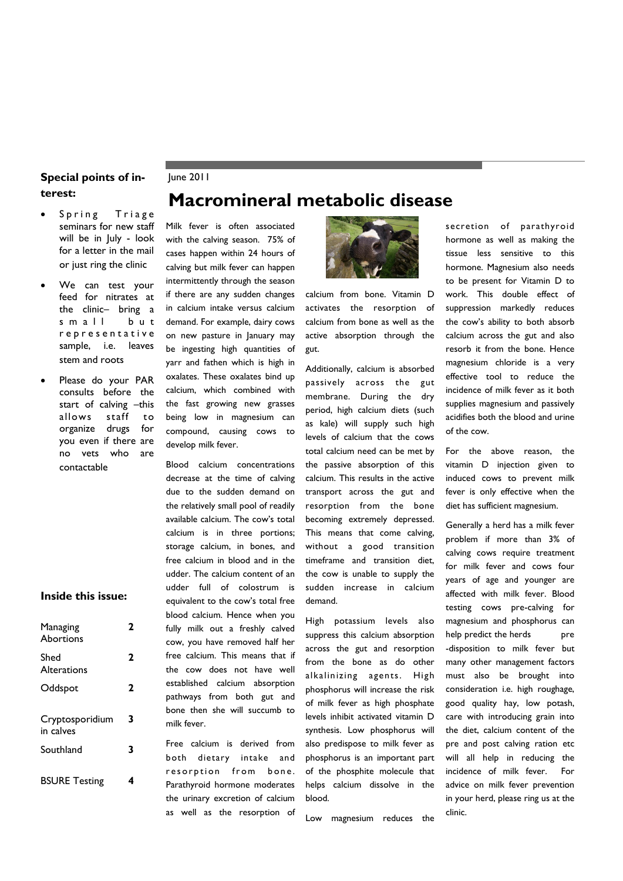### **Special points of in-** June 2011 **terest:**

### Spring Triage seminars for new staff will be in July - look for a letter in the mail or just ring the clinic

- We can test your feed for nitrates at the clinic– bring a s m a ll but r e p r e s e n t a t i v e sample, i.e. leaves stem and roots
- Please do your PAR consults before the start of calving –this allows staff to organize drugs for you even if there are no vets who are contactable

### **Inside this issue:**

| Managing<br><b>Abortions</b> | 7 |
|------------------------------|---|
| Shed<br>Alterations          | 2 |
| Oddspot                      | 2 |
| Cryptosporidium<br>in calves | 3 |
| Southland                    | 3 |
| <b>BSURE Testing</b>         | 4 |

# **Macromineral metabolic disease**

Milk fever is often associated with the calving season. 75% of cases happen within 24 hours of calving but milk fever can happen intermittently through the season if there are any sudden changes in calcium intake versus calcium demand. For example, dairy cows on new pasture in January may be ingesting high quantities of yarr and fathen which is high in oxalates. These oxalates bind up calcium, which combined with the fast growing new grasses being low in magnesium can compound, causing cows to develop milk fever.

Blood calcium concentrations decrease at the time of calving due to the sudden demand on the relatively small pool of readily available calcium. The cow's total calcium is in three portions; storage calcium, in bones, and free calcium in blood and in the udder. The calcium content of an udder full of colostrum is equivalent to the cow's total free blood calcium. Hence when you fully milk out a freshly calved cow, you have removed half her free calcium. This means that if the cow does not have well established calcium absorption pathways from both gut and bone then she will succumb to milk fever.

Free calcium is derived from both dietary intake and resorption from bone. Parathyroid hormone moderates the urinary excretion of calcium as well as the resorption of



calcium from bone. Vitamin D activates the resorption of calcium from bone as well as the active absorption through the gut.

Additionally, calcium is absorbed passively across the gut membrane. During the dry period, high calcium diets (such as kale) will supply such high levels of calcium that the cows total calcium need can be met by the passive absorption of this calcium. This results in the active transport across the gut and resorption from the bone becoming extremely depressed. This means that come calving, without a good transition timeframe and transition diet, the cow is unable to supply the sudden increase in calcium demand.

High potassium levels also suppress this calcium absorption across the gut and resorption from the bone as do other alkalinizing agents. High phosphorus will increase the risk of milk fever as high phosphate levels inhibit activated vitamin D synthesis. Low phosphorus will also predispose to milk fever as phosphorus is an important part of the phosphite molecule that helps calcium dissolve in the blood.

Low magnesium reduces the

secretion of parathyroid hormone as well as making the tissue less sensitive to this hormone. Magnesium also needs to be present for Vitamin D to work. This double effect of suppression markedly reduces the cow's ability to both absorb calcium across the gut and also resorb it from the bone. Hence magnesium chloride is a very effective tool to reduce the incidence of milk fever as it both supplies magnesium and passively acidifies both the blood and urine of the cow.

For the above reason, the vitamin D injection given to induced cows to prevent milk fever is only effective when the diet has sufficient magnesium.

Generally a herd has a milk fever problem if more than 3% of calving cows require treatment for milk fever and cows four years of age and younger are affected with milk fever. Blood testing cows pre-calving for magnesium and phosphorus can help predict the herds pre -disposition to milk fever but many other management factors must also be brought into consideration i.e. high roughage, good quality hay, low potash, care with introducing grain into the diet, calcium content of the pre and post calving ration etc will all help in reducing the incidence of milk fever. For advice on milk fever prevention in your herd, please ring us at the clinic.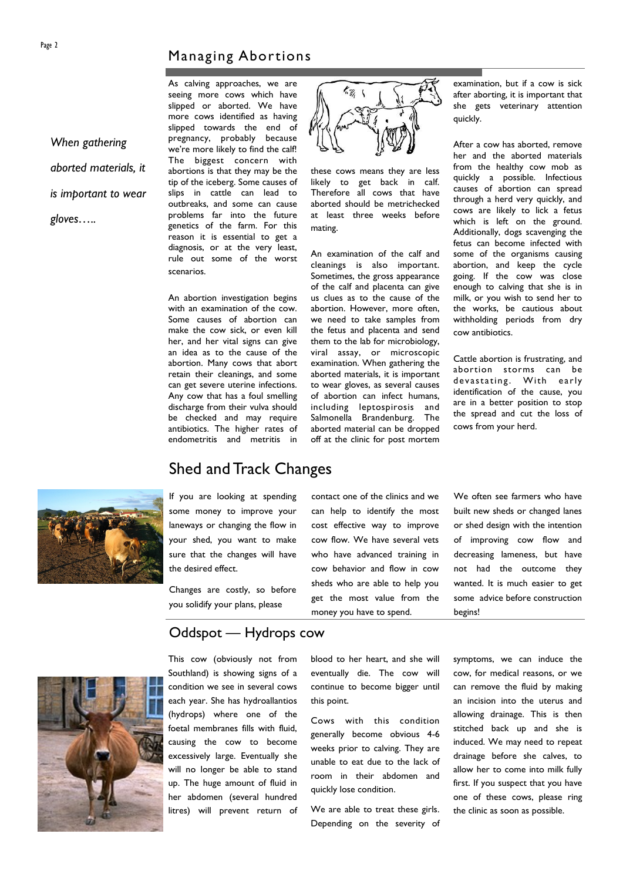### Managing Abortions

*When gathering aborted materials, it is important to wear gloves…..*

As calving approaches, we are seeing more cows which have slipped or aborted. We have more cows identified as having slipped towards the end of pregnancy, probably because we're more likely to find the calf! The biggest concern with abortions is that they may be the tip of the iceberg. Some causes of slips in cattle can lead to outbreaks, and some can cause problems far into the future genetics of the farm. For this reason it is essential to get a diagnosis, or at the very least, rule out some of the worst scenarios.

An abortion investigation begins with an examination of the cow. Some causes of abortion can make the cow sick, or even kill her, and her vital signs can give an idea as to the cause of the abortion. Many cows that abort retain their cleanings, and some can get severe uterine infections. Any cow that has a foul smelling discharge from their vulva should be checked and may require antibiotics. The higher rates of endometritis and metritis in



these cows means they are less likely to get back in calf. Therefore all cows that have aborted should be metrichecked at least three weeks before mating.

An examination of the calf and cleanings is also important. Sometimes, the gross appearance of the calf and placenta can give us clues as to the cause of the abortion. However, more often, we need to take samples from the fetus and placenta and send them to the lab for microbiology, viral assay, or microscopic examination. When gathering the aborted materials, it is important to wear gloves, as several causes of abortion can infect humans, including leptospirosis and Salmonella Brandenburg. The aborted material can be dropped off at the clinic for post mortem

examination, but if a cow is sick after aborting, it is important that she gets veterinary attention quickly.

After a cow has aborted, remove her and the aborted materials from the healthy cow mob as quickly a possible. Infectious causes of abortion can spread through a herd very quickly, and cows are likely to lick a fetus which is left on the ground. Additionally, dogs scavenging the fetus can become infected with some of the organisms causing abortion, and keep the cycle going. If the cow was close enough to calving that she is in milk, or you wish to send her to the works, be cautious about withholding periods from dry cow antibiotics.

Cattle abortion is frustrating, and abortion storms can be devastating. With early identification of the cause, you are in a better position to stop the spread and cut the loss of cows from your herd.



If you are looking at spending some money to improve your laneways or changing the flow in your shed, you want to make sure that the changes will have the desired effect.

Shed and Track Changes

Changes are costly, so before you solidify your plans, please

can help to identify the most cost effective way to improve cow flow. We have several vets who have advanced training in cow behavior and flow in cow sheds who are able to help you get the most value from the money you have to spend.

contact one of the clinics and we

We often see farmers who have built new sheds or changed lanes or shed design with the intention of improving cow flow and decreasing lameness, but have not had the outcome they wanted. It is much easier to get some advice before construction begins!



Oddspot — Hydrops cow

This cow (obviously not from Southland) is showing signs of a condition we see in several cows each year. She has hydroallantios (hydrops) where one of the foetal membranes fills with fluid, causing the cow to become excessively large. Eventually she will no longer be able to stand up. The huge amount of fluid in her abdomen (several hundred litres) will prevent return of blood to her heart, and she will eventually die. The cow will continue to become bigger until this point.

Cows with this condition generally become obvious 4-6 weeks prior to calving. They are unable to eat due to the lack of room in their abdomen and quickly lose condition.

We are able to treat these girls. Depending on the severity of symptoms, we can induce the cow, for medical reasons, or we can remove the fluid by making an incision into the uterus and allowing drainage. This is then stitched back up and she is induced. We may need to repeat drainage before she calves, to allow her to come into milk fully first. If you suspect that you have one of these cows, please ring the clinic as soon as possible.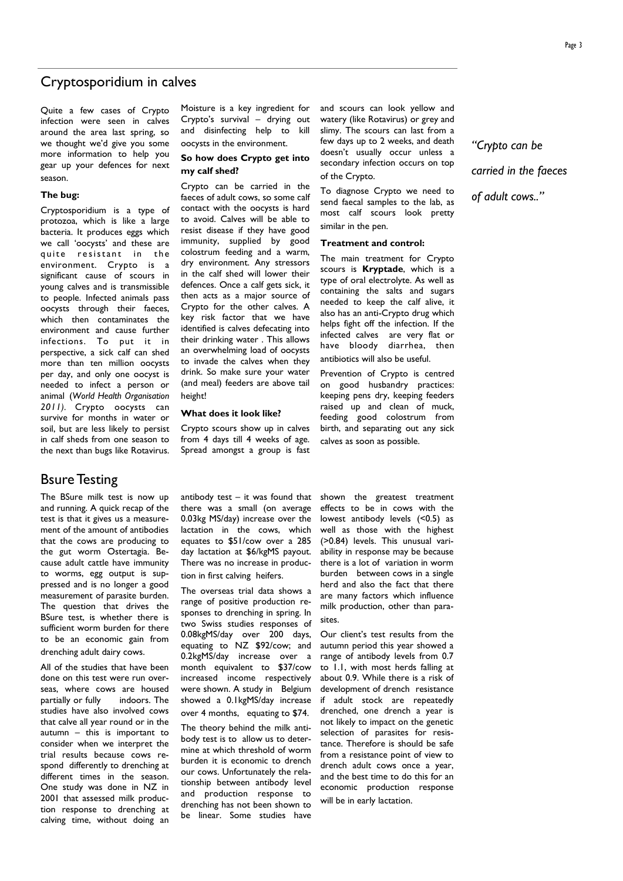### Cryptosporidium in calves

Quite a few cases of Crypto infection were seen in calves around the area last spring, so we thought we'd give you some more information to help you gear up your defences for next season.

#### **The bug:**

Cryptosporidium is a type of protozoa, which is like a large bacteria. It produces eggs which we call 'oocysts' and these are quite resistant in the environment. Crypto is a significant cause of scours in young calves and is transmissible to people. Infected animals pass oocysts through their faeces, which then contaminates the environment and cause further infections. To put it in perspective, a sick calf can shed more than ten million oocysts per day, and only one oocyst is needed to infect a person or animal (*World Health Organisation 2011).* Crypto oocysts can survive for months in water or soil, but are less likely to persist in calf sheds from one season to the next than bugs like Rotavirus.

Moisture is a key ingredient for Crypto's survival – drying out and disinfecting help to kill oocysts in the environment.

#### **So how does Crypto get into my calf shed?**

Crypto can be carried in the faeces of adult cows, so some calf contact with the oocysts is hard to avoid. Calves will be able to resist disease if they have good immunity, supplied by good colostrum feeding and a warm, dry environment. Any stressors in the calf shed will lower their defences. Once a calf gets sick, it then acts as a major source of Crypto for the other calves. A key risk factor that we have identified is calves defecating into their drinking water . This allows an overwhelming load of oocysts to invade the calves when they drink. So make sure your water (and meal) feeders are above tail height!

#### **What does it look like?**

Crypto scours show up in calves from 4 days till 4 weeks of age. Spread amongst a group is fast and scours can look yellow and watery (like Rotavirus) or grey and slimy. The scours can last from a few days up to 2 weeks, and death doesn't usually occur unless a secondary infection occurs on top of the Crypto.

To diagnose Crypto we need to send faecal samples to the lab, as most calf scours look pretty similar in the pen.

#### **Treatment and control:**

The main treatment for Crypto scours is **Kryptade**, which is a type of oral electrolyte. As well as containing the salts and sugars needed to keep the calf alive, it also has an anti-Crypto drug which helps fight off the infection. If the infected calves are very flat or have bloody diarrhea, then antibiotics will also be useful.

Prevention of Crypto is centred on good husbandry practices: keeping pens dry, keeping feeders raised up and clean of muck, feeding good colostrum from birth, and separating out any sick calves as soon as possible.

*"Crypto can be carried in the faeces of adult cows.."*

Bsure Testing

The BSure milk test is now up and running. A quick recap of the test is that it gives us a measurement of the amount of antibodies that the cows are producing to the gut worm Ostertagia. Because adult cattle have immunity to worms, egg output is suppressed and is no longer a good measurement of parasite burden. The question that drives the BSure test, is whether there is sufficient worm burden for there to be an economic gain from drenching adult dairy cows.

All of the studies that have been done on this test were run overseas, where cows are housed partially or fully indoors. The studies have also involved cows that calve all year round or in the autumn – this is important to consider when we interpret the trial results because cows respond differently to drenching at different times in the season. One study was done in NZ in 2001 that assessed milk production response to drenching at calving time, without doing an antibody test  $-$  it was found that there was a small (on average 0.03kg MS/day) increase over the lactation in the cows, which equates to \$51/cow over a 285 day lactation at \$6/kgMS payout. There was no increase in production in first calving heifers.

The overseas trial data shows a range of positive production responses to drenching in spring. In two Swiss studies responses of 0.08kgMS/day over 200 days, equating to NZ \$92/cow; and 0.2kgMS/day increase over a month equivalent to \$37/cow increased income respectively were shown. A study in Belgium showed a 0.1kgMS/day increase over 4 months, equating to \$74.

The theory behind the milk antibody test is to allow us to determine at which threshold of worm burden it is economic to drench our cows. Unfortunately the relationship between antibody level and production response to drenching has not been shown to be linear. Some studies have

shown the greatest treatment effects to be in cows with the lowest antibody levels (<0.5) as well as those with the highest (>0.84) levels. This unusual variability in response may be because there is a lot of variation in worm burden between cows in a single herd and also the fact that there are many factors which influence milk production, other than parasites.

Our client's test results from the autumn period this year showed a range of antibody levels from 0.7 to 1.1, with most herds falling at about 0.9. While there is a risk of development of drench resistance if adult stock are repeatedly drenched, one drench a year is not likely to impact on the genetic selection of parasites for resistance. Therefore is should be safe from a resistance point of view to drench adult cows once a year, and the best time to do this for an economic production response will be in early lactation.